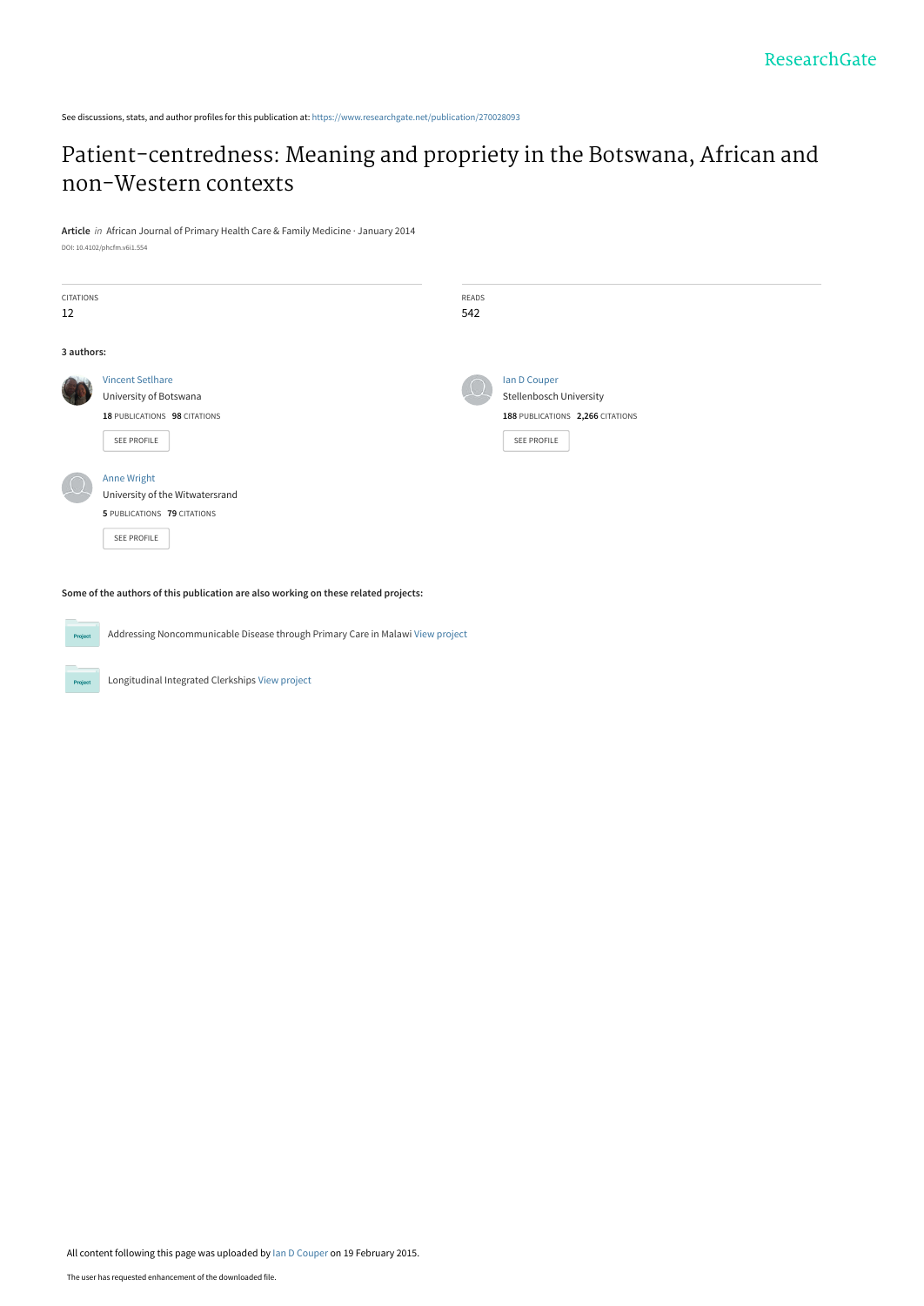See discussions, stats, and author profiles for this publication at: [https://www.researchgate.net/publication/270028093](https://www.researchgate.net/publication/270028093_Patient-centredness_Meaning_and_propriety_in_the_Botswana_African_and_non-Western_contexts?enrichId=rgreq-db37276af727185dc6ea086c07177047-XXX&enrichSource=Y292ZXJQYWdlOzI3MDAyODA5MztBUzoxOTg1MTkzODQwMTA3NTZAMTQyNDM0MjExNzkxNw%3D%3D&el=1_x_2&_esc=publicationCoverPdf)

## [Patient-centredness: Meaning and propriety in the Botswana, African and](https://www.researchgate.net/publication/270028093_Patient-centredness_Meaning_and_propriety_in_the_Botswana_African_and_non-Western_contexts?enrichId=rgreq-db37276af727185dc6ea086c07177047-XXX&enrichSource=Y292ZXJQYWdlOzI3MDAyODA5MztBUzoxOTg1MTkzODQwMTA3NTZAMTQyNDM0MjExNzkxNw%3D%3D&el=1_x_3&_esc=publicationCoverPdf) non-Western contexts

**Article** in African Journal of Primary Health Care & Family Medicine · January 2014 DOI: 10.4102/phcfm.v6i1.554

| <b>CITATIONS</b><br>12 |                                                                                                     | READS<br>542 |                                                                                                   |
|------------------------|-----------------------------------------------------------------------------------------------------|--------------|---------------------------------------------------------------------------------------------------|
| 3 authors:             |                                                                                                     |              |                                                                                                   |
|                        | <b>Vincent SetIhare</b><br>University of Botswana<br>18 PUBLICATIONS 98 CITATIONS<br>SEE PROFILE    |              | Ian D Couper<br><b>Stellenbosch University</b><br>188 PUBLICATIONS 2,266 CITATIONS<br>SEE PROFILE |
|                        | <b>Anne Wright</b><br>University of the Witwatersrand<br>5 PUBLICATIONS 79 CITATIONS<br>SEE PROFILE |              |                                                                                                   |

**Some of the authors of this publication are also working on these related projects:**

Addressing Noncommunicable Disease through Primary Care in Malawi [View project](https://www.researchgate.net/project/Addressing-Noncommunicable-Disease-through-Primary-Care-in-Malawi?enrichId=rgreq-db37276af727185dc6ea086c07177047-XXX&enrichSource=Y292ZXJQYWdlOzI3MDAyODA5MztBUzoxOTg1MTkzODQwMTA3NTZAMTQyNDM0MjExNzkxNw%3D%3D&el=1_x_9&_esc=publicationCoverPdf) **Project** 

Longitudinal Integrated Clerkships [View project](https://www.researchgate.net/project/Longitudinal-Integrated-Clerkships-4?enrichId=rgreq-db37276af727185dc6ea086c07177047-XXX&enrichSource=Y292ZXJQYWdlOzI3MDAyODA5MztBUzoxOTg1MTkzODQwMTA3NTZAMTQyNDM0MjExNzkxNw%3D%3D&el=1_x_9&_esc=publicationCoverPdf)

**Project**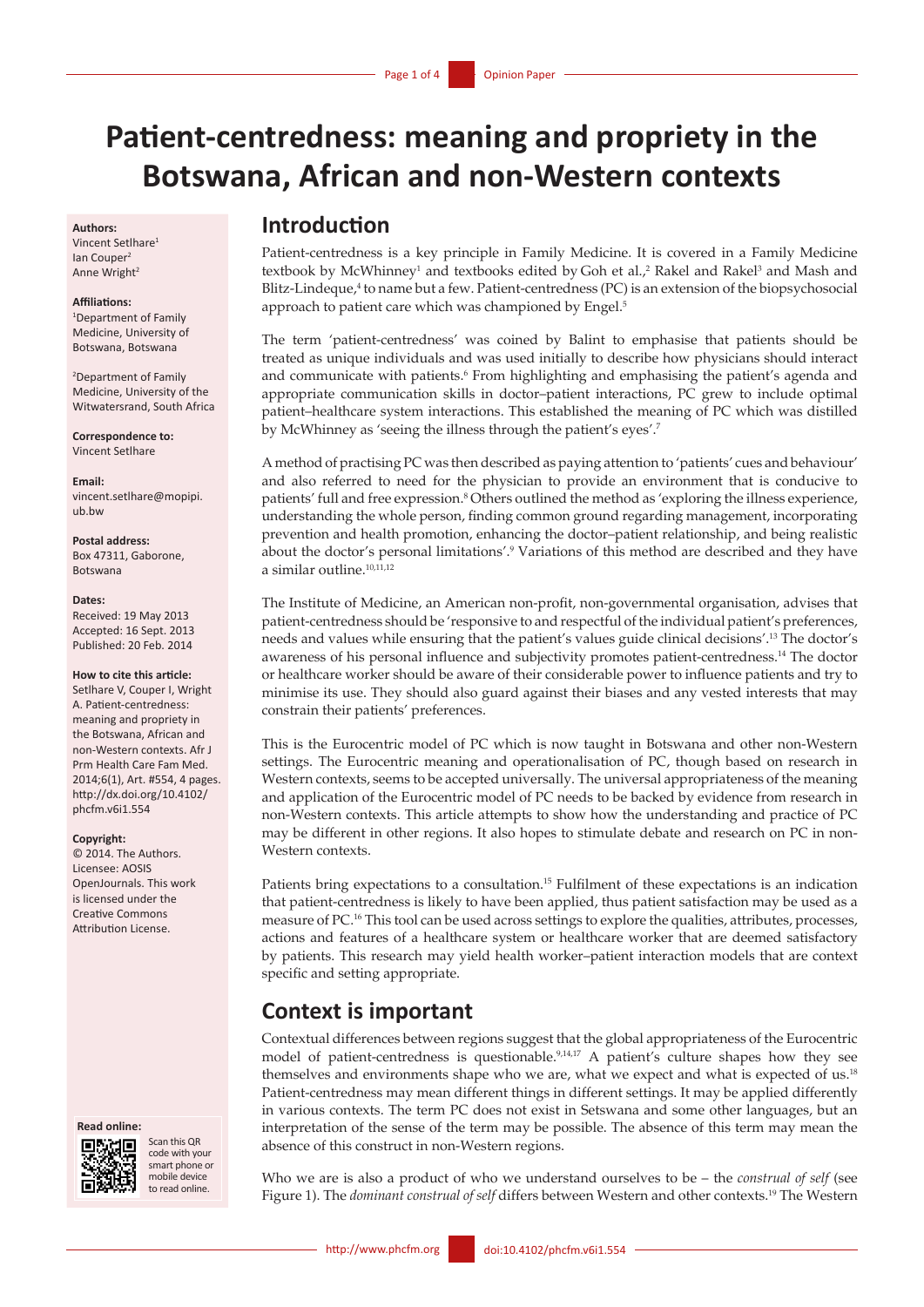# **Patient-centredness: meaning and propriety in the Botswana, African and non-Western contexts**

#### **Authors:**

Vincent Setlhare1 Ian Couper<sup>2</sup> Anne Wright<sup>2</sup>

#### **Affiliations:**

1 Department of Family Medicine, University of Botswana, Botswana

2 Department of Family Medicine, University of the Witwatersrand, South Africa

**Correspondence to:**  Vincent Setlhare

**Email:**  [vincent.setlhare@mopipi.](mailto:vincent.setlhare@mopipi.ub.bw) [ub.bw](mailto:vincent.setlhare@mopipi.ub.bw)

#### **Postal address:**

Box 47311, Gaborone, Botswana

#### **Dates:**

Received: 19 May 2013 Accepted: 16 Sept. 2013 Published: 20 Feb. 2014

#### **How to cite this article:**

Setlhare V, Couper I, Wright A. Patient-centredness: meaning and propriety in the Botswana, African and non-Western contexts. Afr J Prm Health Care Fam Med. 2014;6(1), Art. #554, 4 pages. [http://dx.doi.org/10.4102/](http://dx.doi.org/10.4102/phcfm.v6i1.554 ) [phcfm.v6i1.554](http://dx.doi.org/10.4102/phcfm.v6i1.554 )

#### **Copyright:**

© 2014. The Authors. Licensee: AOSIS OpenJournals. This work is licensed under the Creative Commons Attribution License.



Scan this QR code with your smart phone or mobile device to read online.

### **Introduction**

Patient-centredness is a key principle in Family Medicine. It is covered in a Family Medicine textbook by McWhinney<sup>1</sup> and textbooks edited by Goh et al.,<sup>2</sup> Rakel and Rakel<sup>3</sup> and Mash and Blitz-Lindeque,<sup>4</sup> to name but a few. Patient-centredness (PC) is an extension of the biopsychosocial approach to patient care which was championed by Engel.<sup>5</sup>

The term 'patient-centredness' was coined by Balint to emphasise that patients should be treated as unique individuals and was used initially to describe how physicians should interact and communicate with patients.<sup>6</sup> From highlighting and emphasising the patient's agenda and appropriate communication skills in doctor–patient interactions, PC grew to include optimal patient–healthcare system interactions. This established the meaning of PC which was distilled by McWhinney as 'seeing the illness through the patient's eyes'.7

A method of practising PC was then described as paying attention to 'patients' cues and behaviour' and also referred to need for the physician to provide an environment that is conducive to patients' full and free expression.<sup>8</sup> Others outlined the method as 'exploring the illness experience, understanding the whole person, finding common ground regarding management, incorporating prevention and health promotion, enhancing the doctor–patient relationship, and being realistic about the doctor's personal limitations'.<sup>9</sup> Variations of this method are described and they have a similar outline.10,11,12

The Institute of Medicine, an American non-profit, non-governmental organisation, advises that patient-centredness should be 'responsive to and respectful of the individual patient's preferences, needs and values while ensuring that the patient's values guide clinical decisions'.13 The doctor's awareness of his personal influence and subjectivity promotes patient-centredness.14 The doctor or healthcare worker should be aware of their considerable power to influence patients and try to minimise its use. They should also guard against their biases and any vested interests that may constrain their patients' preferences.

This is the Eurocentric model of PC which is now taught in Botswana and other non-Western settings. The Eurocentric meaning and operationalisation of PC, though based on research in Western contexts, seems to be accepted universally. The universal appropriateness of the meaning and application of the Eurocentric model of PC needs to be backed by evidence from research in non-Western contexts. This article attempts to show how the understanding and practice of PC may be different in other regions. It also hopes to stimulate debate and research on PC in non-Western contexts.

Patients bring expectations to a consultation.15 Fulfilment of these expectations is an indication that patient-centredness is likely to have been applied, thus patient satisfaction may be used as a measure of PC.16 This tool can be used across settings to explore the qualities, attributes, processes, actions and features of a healthcare system or healthcare worker that are deemed satisfactory by patients. This research may yield health worker–patient interaction models that are context specific and setting appropriate.

### **Context is important**

Contextual differences between regions suggest that the global appropriateness of the Eurocentric model of patient-centredness is questionable.<sup>9,14,17</sup> A patient's culture shapes how they see themselves and environments shape who we are, what we expect and what is expected of us.<sup>18</sup> Patient-centredness may mean different things in different settings. It may be applied differently in various contexts. The term PC does not exist in Setswana and some other languages, but an interpretation of the sense of the term may be possible. The absence of this term may mean the absence of this construct in non-Western regions.

Who we are is also a product of who we understand ourselves to be – the *construal of self* (see Figure 1). The *dominant construal of self* differs between Western and other contexts.19 The Western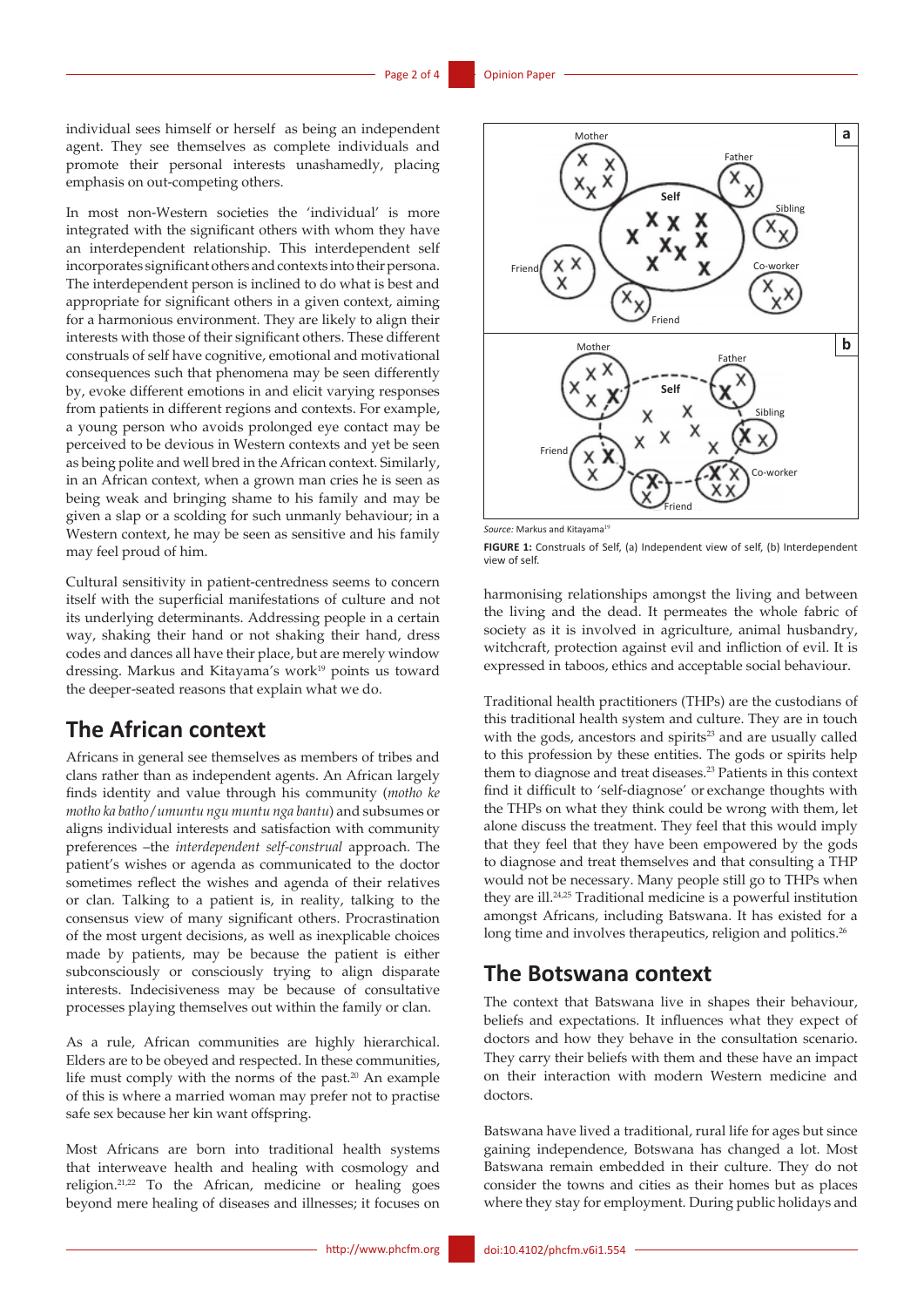individual sees himself or herself as being an independent agent. They see themselves as complete individuals and promote their personal interests unashamedly, placing emphasis on out-competing others.

In most non-Western societies the 'individual' is more integrated with the significant others with whom they have an interdependent relationship. This interdependent self incorporates significant others and contexts into their persona. The interdependent person is inclined to do what is best and appropriate for significant others in a given context, aiming for a harmonious environment. They are likely to align their interests with those of their significant others. These different construals of self have cognitive, emotional and motivational consequences such that phenomena may be seen differently by, evoke different emotions in and elicit varying responses from patients in different regions and contexts. For example, a young person who avoids prolonged eye contact may be perceived to be devious in Western contexts and yet be seen as being polite and well bred in the African context. Similarly, in an African context, when a grown man cries he is seen as being weak and bringing shame to his family and may be given a slap or a scolding for such unmanly behaviour; in a Western context, he may be seen as sensitive and his family may feel proud of him.

Cultural sensitivity in patient-centredness seems to concern itself with the superficial manifestations of culture and not its underlying determinants. Addressing people in a certain way, shaking their hand or not shaking their hand, dress codes and dances all have their place, but are merely window dressing. Markus and Kitayama's work<sup>19</sup> points us toward the deeper-seated reasons that explain what we do.

### **The African context**

Africans in general see themselves as members of tribes and clans rather than as independent agents. An African largely finds identity and value through his community (*motho ke motho ka batho*/*umuntu ngu muntu nga bantu*) and subsumes or aligns individual interests and satisfaction with community preferences –the *interdependent self-construal* approach. The patient's wishes or agenda as communicated to the doctor sometimes reflect the wishes and agenda of their relatives or clan. Talking to a patient is, in reality, talking to the consensus view of many significant others. Procrastination of the most urgent decisions, as well as inexplicable choices made by patients, may be because the patient is either subconsciously or consciously trying to align disparate interests. Indecisiveness may be because of consultative processes playing themselves out within the family or clan.

As a rule, African communities are highly hierarchical. Elders are to be obeyed and respected. In these communities, life must comply with the norms of the past.<sup>20</sup> An example of this is where a married woman may prefer not to practise safe sex because her kin want offspring.

Most Africans are born into traditional health systems that interweave health and healing with cosmology and religion.21,22 To the African, medicine or healing goes beyond mere healing of diseases and illnesses; it focuses on



Source: Markus and Kitayama<sup>19</sup>

**FIGURE 1:** Construals of Self, (a) Independent view of self, (b) Interdependent view of self.

harmonising relationships amongst the living and between the living and the dead. It permeates the whole fabric of society as it is involved in agriculture, animal husbandry, witchcraft, protection against evil and infliction of evil. It is expressed in taboos, ethics and acceptable social behaviour.

Traditional health practitioners (THPs) are the custodians of this traditional health system and culture. They are in touch with the gods, ancestors and spirits<sup>23</sup> and are usually called to this profession by these entities. The gods or spirits help them to diagnose and treat diseases.23 Patients in this context find it difficult to 'self-diagnose' or exchange thoughts with the THPs on what they think could be wrong with them, let alone discuss the treatment. They feel that this would imply that they feel that they have been empowered by the gods to diagnose and treat themselves and that consulting a THP would not be necessary. Many people still go to THPs when they are ill.24,25 Traditional medicine is a powerful institution amongst Africans, including Batswana. It has existed for a long time and involves therapeutics, religion and politics.<sup>26</sup>

#### **The Botswana context**

The context that Batswana live in shapes their behaviour, beliefs and expectations. It influences what they expect of doctors and how they behave in the consultation scenario. They carry their beliefs with them and these have an impact on their interaction with modern Western medicine and doctors.

Batswana have lived a traditional, rural life for ages but since gaining independence, Botswana has changed a lot. Most Batswana remain embedded in their culture. They do not consider the towns and cities as their homes but as places where they stay for employment. During public holidays and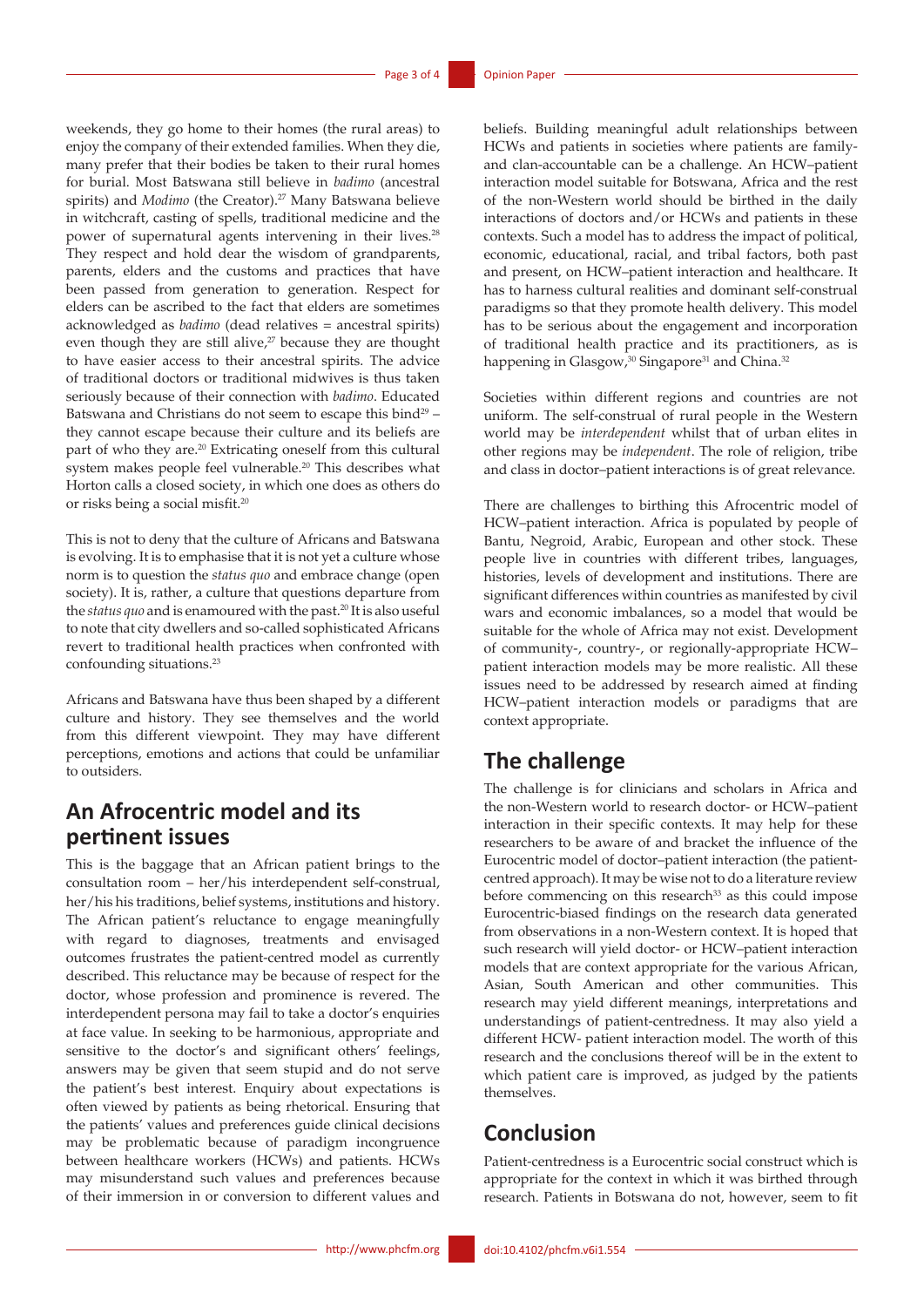weekends, they go home to their homes (the rural areas) to enjoy the company of their extended families. When they die, many prefer that their bodies be taken to their rural homes for burial. Most Batswana still believe in *badimo* (ancestral spirits) and *Modimo* (the Creator).<sup>27</sup> Many Batswana believe in witchcraft, casting of spells, traditional medicine and the power of supernatural agents intervening in their lives.<sup>28</sup> They respect and hold dear the wisdom of grandparents, parents, elders and the customs and practices that have been passed from generation to generation. Respect for elders can be ascribed to the fact that elders are sometimes acknowledged as *badimo* (dead relatives = ancestral spirits) even though they are still alive, $27$  because they are thought to have easier access to their ancestral spirits. The advice of traditional doctors or traditional midwives is thus taken seriously because of their connection with *badimo*. Educated Batswana and Christians do not seem to escape this bind<sup>29</sup> they cannot escape because their culture and its beliefs are part of who they are.<sup>20</sup> Extricating oneself from this cultural system makes people feel vulnerable.20 This describes what Horton calls a closed society, in which one does as others do or risks being a social misfit.20

This is not to deny that the culture of Africans and Batswana is evolving. It is to emphasise that it is not yet a culture whose norm is to question the *status quo* and embrace change (open society). It is, rather, a culture that questions departure from the *status quo* and is enamoured with the past.20 It is also useful to note that city dwellers and so-called sophisticated Africans revert to traditional health practices when confronted with confounding situations.23

Africans and Batswana have thus been shaped by a different culture and history. They see themselves and the world from this different viewpoint. They may have different perceptions, emotions and actions that could be unfamiliar to outsiders.

### **An Afrocentric model and its pertinent issues**

This is the baggage that an African patient brings to the consultation room – her/his interdependent self-construal, her/his his traditions, belief systems, institutions and history. The African patient's reluctance to engage meaningfully with regard to diagnoses, treatments and envisaged outcomes frustrates the patient-centred model as currently described. This reluctance may be because of respect for the doctor, whose profession and prominence is revered. The interdependent persona may fail to take a doctor's enquiries at face value. In seeking to be harmonious, appropriate and sensitive to the doctor's and significant others' feelings, answers may be given that seem stupid and do not serve the patient's best interest. Enquiry about expectations is often viewed by patients as being rhetorical. Ensuring that the patients' values and preferences guide clinical decisions may be problematic because of paradigm incongruence between healthcare workers (HCWs) and patients. HCWs may misunderstand such values and preferences because of their immersion in or conversion to different values and

beliefs. Building meaningful adult relationships between HCWs and patients in societies where patients are familyand clan-accountable can be a challenge. An HCW–patient interaction model suitable for Botswana, Africa and the rest of the non-Western world should be birthed in the daily interactions of doctors and/or HCWs and patients in these contexts. Such a model has to address the impact of political, economic, educational, racial, and tribal factors, both past and present, on HCW–patient interaction and healthcare. It has to harness cultural realities and dominant self-construal paradigms so that they promote health delivery. This model has to be serious about the engagement and incorporation of traditional health practice and its practitioners, as is happening in Glasgow,<sup>30</sup> Singapore<sup>31</sup> and China.<sup>32</sup>

Societies within different regions and countries are not uniform. The self-construal of rural people in the Western world may be *interdependent* whilst that of urban elites in other regions may be *independent*. The role of religion, tribe and class in doctor–patient interactions is of great relevance.

There are challenges to birthing this Afrocentric model of HCW–patient interaction. Africa is populated by people of Bantu, Negroid, Arabic, European and other stock. These people live in countries with different tribes, languages, histories, levels of development and institutions. There are significant differences within countries as manifested by civil wars and economic imbalances, so a model that would be suitable for the whole of Africa may not exist. Development of community-, country-, or regionally-appropriate HCW– patient interaction models may be more realistic. All these issues need to be addressed by research aimed at finding HCW–patient interaction models or paradigms that are context appropriate.

### **The challenge**

The challenge is for clinicians and scholars in Africa and the non-Western world to research doctor- or HCW–patient interaction in their specific contexts. It may help for these researchers to be aware of and bracket the influence of the Eurocentric model of doctor–patient interaction (the patientcentred approach). It may be wise not to do a literature review before commencing on this research<sup>33</sup> as this could impose Eurocentric-biased findings on the research data generated from observations in a non-Western context. It is hoped that such research will yield doctor- or HCW–patient interaction models that are context appropriate for the various African, Asian, South American and other communities. This research may yield different meanings, interpretations and understandings of patient-centredness. It may also yield a different HCW- patient interaction model. The worth of this research and the conclusions thereof will be in the extent to which patient care is improved, as judged by the patients themselves.

### **Conclusion**

Patient-centredness is a Eurocentric social construct which is appropriate for the context in which it was birthed through research. Patients in Botswana do not, however, seem to fit